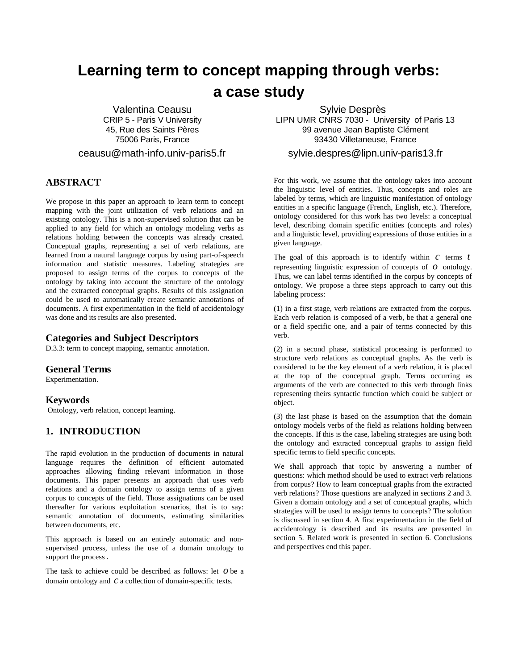# **Learning term to concept mapping through verbs: a case study**

Valentina Ceausu CRIP 5 - Paris V University 45, Rue des Saints Pères 75006 Paris, France

ceausu@math-info.univ-paris5.fr

## **ABSTRACT**

We propose in this paper an approach to learn term to concept mapping with the joint utilization of verb relations and an existing ontology. This is a non-supervised solution that can be applied to any field for which an ontology modeling verbs as relations holding between the concepts was already created. Conceptual graphs, representing a set of verb relations, are learned from a natural language corpus by using part-of-speech information and statistic measures. Labeling strategies are proposed to assign terms of the corpus to concepts of the ontology by taking into account the structure of the ontology and the extracted conceptual graphs. Results of this assignation could be used to automatically create semantic annotations of documents. A first experimentation in the field of accidentology was done and its results are also presented.

### **Categories and Subject Descriptors**

D.3.3: term to concept mapping, semantic annotation.

## **General Terms**

Experimentation.

## **Keywords**

Ontology, verb relation, concept learning.

## **1. INTRODUCTION**

The rapid evolution in the production of documents in natural language requires the definition of efficient automated approaches allowing finding relevant information in those documents. This paper presents an approach that uses verb relations and a domain ontology to assign terms of a given corpus to concepts of the field. Those assignations can be used thereafter for various exploitation scenarios, that is to say: semantic annotation of documents, estimating similarities between documents, etc.

This approach is based on an entirely automatic and nonsupervised process, unless the use of a domain ontology to support the process.

The task to achieve could be described as follows: let *o* be a domain ontology and *c* a collection of domain-specific texts.

Sylvie Desprès LIPN UMR CNRS 7030 - University of Paris 13 99 avenue Jean Baptiste Clément 93430 Villetaneuse, France

#### sylvie.despres@lipn.univ-paris13.fr

For this work, we assume that the ontology takes into account the linguistic level of entities. Thus, concepts and roles are labeled by terms, which are linguistic manifestation of ontology entities in a specific language (French, English, etc.). Therefore, ontology considered for this work has two levels: a conceptual level, describing domain specific entities (concepts and roles) and a linguistic level, providing expressions of those entities in a given language.

The goal of this approach is to identify within *c* terms *t* representing linguistic expression of concepts of *o* ontology. Thus, we can label terms identified in the corpus by concepts of ontology. We propose a three steps approach to carry out this labeling process:

(1) in a first stage, verb relations are extracted from the corpus. Each verb relation is composed of a verb, be that a general one or a field specific one, and a pair of terms connected by this verb.

(2) in a second phase, statistical processing is performed to structure verb relations as conceptual graphs. As the verb is considered to be the key element of a verb relation, it is placed at the top of the conceptual graph. Terms occurring as arguments of the verb are connected to this verb through links representing theirs syntactic function which could be subject or object.

(3) the last phase is based on the assumption that the domain ontology models verbs of the field as relations holding between the concepts. If this is the case, labeling strategies are using both the ontology and extracted conceptual graphs to assign field specific terms to field specific concepts.

We shall approach that topic by answering a number of questions: which method should be used to extract verb relations from corpus? How to learn conceptual graphs from the extracted verb relations? Those questions are analyzed in sections 2 and 3. Given a domain ontology and a set of conceptual graphs, which strategies will be used to assign terms to concepts? The solution is discussed in section 4. A first experimentation in the field of accidentology is described and its results are presented in section 5. Related work is presented in section 6. Conclusions and perspectives end this paper.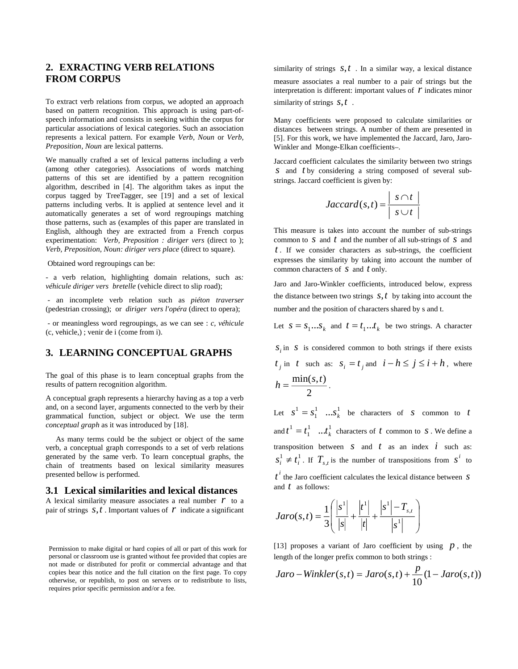## **2. EXRACTING VERB RELATIONS FROM CORPUS**

To extract verb relations from corpus, we adopted an approach based on pattern recognition. This approach is using part-ofspeech information and consists in seeking within the corpus for particular associations of lexical categories. Such an association represents a lexical pattern. For example *Verb, Noun* or *Verb, Preposition, Noun* are lexical patterns.

We manually crafted a set of lexical patterns including a verb (among other categories). Associations of words matching patterns of this set are identified by a pattern recognition algorithm, described in [4]. The algorithm takes as input the corpus tagged by TreeTagger, see [19] and a set of lexical patterns including verbs. It is applied at sentence level and it automatically generates a set of word regroupings matching those patterns, such as (examples of this paper are translated in English, although they are extracted from a French corpus experimentation: *Verb, Preposition : diriger vers* (direct to ); *Verb, Preposition, Noun: diriger vers place* (direct to square).

Obtained word regroupings can be:

- a verb relation, highlighting domain relations, such as*: véhicule diriger vers bretelle* (vehicle direct to slip road);

- an incomplete verb relation such as *piéton traverser* (pedestrian crossing); or *diriger vers l'opéra* (direct to opera);

- or meaningless word regroupings, as we can see : *c, véhicule* (c, vehicle,) ; venir de i (come from i).

## **3. LEARNING CONCEPTUAL GRAPHS**

The goal of this phase is to learn conceptual graphs from the results of pattern recognition algorithm.

A conceptual graph represents a hierarchy having as a top a verb and, on a second layer, arguments connected to the verb by their grammatical function, subject or object. We use the term *conceptual graph* as it was introduced by [18].

 As many terms could be the subject or object of the same verb, a conceptual graph corresponds to a set of verb relations generated by the same verb. To learn conceptual graphs, the chain of treatments based on lexical similarity measures presented bellow is performed.

#### **3.1 Lexical similarities and lexical distances**

A lexical similarity measure associates a real number *r* to a pair of strings  $S, t$ . Important values of  $r$  indicate a significant

Permission to make digital or hard copies of all or part of this work for personal or classroom use is granted without fee provided that copies are not made or distributed for profit or commercial advantage and that copies bear this notice and the full citation on the first page. To copy otherwise, or republish, to post on servers or to redistribute to lists, requires prior specific permission and/or a fee.

similarity of strings *s*,*t* . In a similar way, a lexical distance measure associates a real number to a pair of strings but the interpretation is different: important values of  *indicates minor* similarity of strings *s*,*t* .

Many coefficients were proposed to calculate similarities or distances between strings. A number of them are presented in [5]. For this work, we have implemented the Jaccard, Jaro, Jaro-Winkler and Monge-Elkan coefficients–.

Jaccard coefficient calculates the similarity between two strings *s* and *t* by considering a string composed of several substrings. Jaccard coefficient is given by:

$$
Jaccard(s,t) = \frac{|s \cap t|}{|s \cup t|}
$$

This measure is takes into account the number of sub-strings common to *s* and *t* and the number of all sub-strings of *s* and *t* . If we consider characters as sub-strings, the coefficient expresses the similarity by taking into account the number of common characters of *s* and *t* only.

Jaro and Jaro-Winkler coefficients, introduced below, express the distance between two strings  $s, t$  by taking into account the number and the position of characters shared by s and t.

Let  $S = S_1...S_k$  and  $t = t_1...t_k$  be two strings. A character

 $\delta$  is considered common to both strings if there exists  $t_i$  in *t* such as:  $s_i = t_i$  and  $i - h \le j \le i + h$ , where 2  $h = \frac{\min(s,t)}{s}$ .

Let  $s^1 = s_1^1$  ...  $s_k^1$  be characters of *s* common to *t* and  $t^1 = t_1^1 \dots t_k^1$  characters of *t* common to *s*. We define a transposition between  $S$  and  $t$  as an index  $i$  such as:  $s_i^1 \neq t_i^1$ . If  $T_{s,t}$  is the number of transpositions from  $s^i$  to *i t* the Jaro coefficient calculates the lexical distance between *s* and *t* as follows:

$$
Jaro(s,t) = \frac{1}{3} \left( \frac{|s^1|}{|s|} + \frac{|t^1|}{|t|} + \frac{|s^1| - T_{s,t}}{|s^1|} \right)
$$

[13] proposes a variant of Jaro coefficient by using *p* , the length of the longer prefix common to both strings :

$$
Jaro-Winkler(s,t) = Jaro(s,t) + \frac{p}{10}(1 - Jaro(s,t))
$$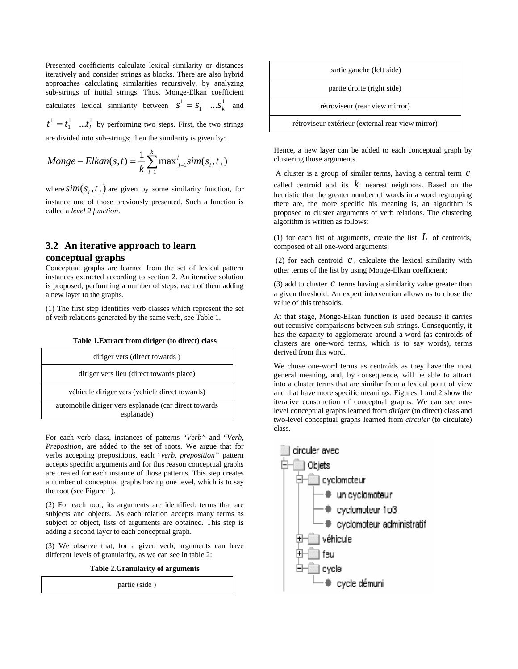Presented coefficients calculate lexical similarity or distances iteratively and consider strings as blocks. There are also hybrid approaches calculating similarities recursively, by analyzing sub-strings of initial strings. Thus, Monge-Elkan coefficient calculates lexical similarity between  $s^1 = s_1^1 \dots s_k^1$  and

1  $\overline{1}$  $t^1 = t_1^1 \dots t_l^1$  by performing two steps. First, the two strings are divided into sub-strings; then the similarity is given by:

*Money – Elkan(s,t)* = 
$$
\frac{1}{k} \sum_{i=1}^{k} \max_{j=1}^{l} sim(s_i, t_j)
$$

where  $\text{sim}(s_i, t_i)$  are given by some similarity function, for instance one of those previously presented. Such a function is called a *level 2 function*.

## **3.2 An iterative approach to learn conceptual graphs**

Conceptual graphs are learned from the set of lexical pattern instances extracted according to section 2. An iterative solution is proposed, performing a number of steps, each of them adding a new layer to the graphs.

(1) The first step identifies verb classes which represent the set of verb relations generated by the same verb, see Table 1.

| diriger vers (direct towards)                                        |
|----------------------------------------------------------------------|
| diriger vers lieu (direct towards place)                             |
| véhicule diriger vers (vehicle direct towards)                       |
| automobile diriger vers esplanade (car direct towards)<br>esplanade) |
|                                                                      |

**Table 1.Extract from diriger (to direct) class**

For each verb class, instances of patterns "*Verb"* and "*Verb, Preposition*, are added to the set of roots. We argue that for verbs accepting prepositions, each "*verb, preposition"* pattern accepts specific arguments and for this reason conceptual graphs are created for each instance of those patterns. This step creates a number of conceptual graphs having one level, which is to say the root (see Figure 1).

(2) For each root, its arguments are identified: terms that are subjects and objects. As each relation accepts many terms as subject or object, lists of arguments are obtained. This step is adding a second layer to each conceptual graph.

(3) We observe that, for a given verb, arguments can have different levels of granularity, as we can see in table 2:

**Table 2.Granularity of arguments**

partie (side )



Hence, a new layer can be added to each conceptual graph by clustering those arguments.

A cluster is a group of similar terms, having a central term *c*

called centroid and its *k* nearest neighbors. Based on the heuristic that the greater number of words in a word regrouping there are, the more specific his meaning is, an algorithm is proposed to cluster arguments of verb relations. The clustering algorithm is written as follows:

(1) for each list of arguments, create the list *L* of centroids, composed of all one-word arguments;

(2) for each centroid  $c$ , calculate the lexical similarity with other terms of the list by using Monge-Elkan coefficient;

(3) add to cluster *c* terms having a similarity value greater than a given threshold. An expert intervention allows us to chose the value of this trehsolds.

At that stage, Monge-Elkan function is used because it carries out recursive comparisons between sub-strings. Consequently, it has the capacity to agglomerate around a word (as centroids of clusters are one-word terms, which is to say words), terms derived from this word.

We chose one-word terms as centroids as they have the most general meaning, and, by consequence, will be able to attract into a cluster terms that are similar from a lexical point of view and that have more specific meanings. Figures 1 and 2 show the iterative construction of conceptual graphs. We can see onelevel conceptual graphs learned from *diriger* (to direct) class and two-level conceptual graphs learned from *circuler* (to circulate) class.

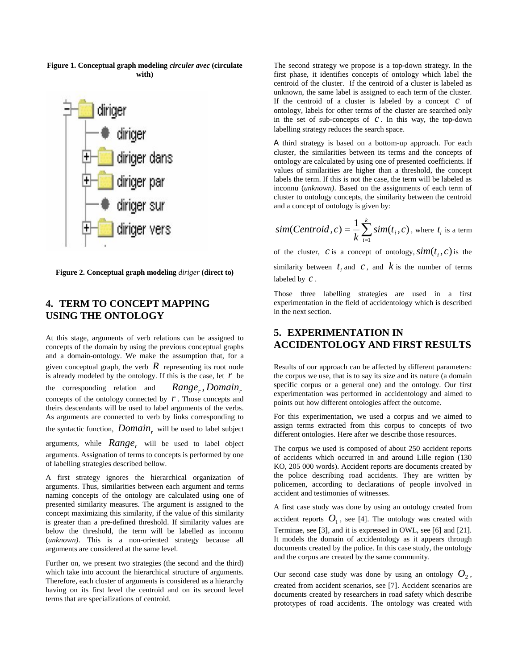

**Figure 1. Conceptual graph modeling** *circuler avec* **(circulate with)**

**Figure 2. Conceptual graph modeling** *diriger* **(direct to)**

# **4. TERM TO CONCEPT MAPPING USING THE ONTOLOGY**

At this stage, arguments of verb relations can be assigned to concepts of the domain by using the previous conceptual graphs and a domain-ontology. We make the assumption that, for a given conceptual graph, the verb  $\hat{R}$  representing its root node is already modeled by the ontology. If this is the case, let  $r$  be the corresponding relation and *Range*, *Domain*, concepts of the ontology connected by *r* . Those concepts and theirs descendants will be used to label arguments of the verbs. As arguments are connected to verb by links corresponding to the syntactic function, *Domain*<sub>r</sub> will be used to label subject arguments, while *Range*, will be used to label object

arguments. Assignation of terms to concepts is performed by one of labelling strategies described bellow.

A first strategy ignores the hierarchical organization of arguments. Thus, similarities between each argument and terms naming concepts of the ontology are calculated using one of presented similarity measures. The argument is assigned to the concept maximizing this similarity, if the value of this similarity is greater than a pre-defined threshold. If similarity values are below the threshold, the term will be labelled as inconnu (*unknown)*. This is a non-oriented strategy because all arguments are considered at the same level.

Further on, we present two strategies (the second and the third) which take into account the hierarchical structure of arguments. Therefore, each cluster of arguments is considered as a hierarchy having on its first level the centroid and on its second level terms that are specializations of centroid.

The second strategy we propose is a top-down strategy. In the first phase, it identifies concepts of ontology which label the centroid of the cluster. If the centroid of a cluster is labeled as unknown, the same label is assigned to each term of the cluster. If the centroid of a cluster is labeled by a concept *c* of ontology, labels for other terms of the cluster are searched only in the set of sub-concepts of  $C$ . In this way, the top-down labelling strategy reduces the search space.

A third strategy is based on a bottom-up approach. For each cluster, the similarities between its terms and the concepts of ontology are calculated by using one of presented coefficients. If values of similarities are higher than a threshold, the concept labels the term. If this is not the case, the term will be labeled as inconnu (*unknown)*. Based on the assignments of each term of cluster to ontology concepts, the similarity between the centroid and a concept of ontology is given by:

$$
sim(Centroid, c) = \frac{1}{k} \sum_{i=1}^{k} sim(t_i, c)
$$
, where  $t_i$  is a term

of the cluster, *c* is a concept of ontology,  $\text{sim}(t_i, c)$  is the similarity between  $t_i$  and  $c$ , and  $k$  is the number of terms labeled by *c* .

Those three labelling strategies are used in a first experimentation in the field of accidentology which is described in the next section.

## **5. EXPERIMENTATION IN ACCIDENTOLOGY AND FIRST RESULTS**

Results of our approach can be affected by different parameters: the corpus we use, that is to say its size and its nature (a domain specific corpus or a general one) and the ontology. Our first experimentation was performed in accidentology and aimed to points out how different ontologies affect the outcome.

For this experimentation, we used a corpus and we aimed to assign terms extracted from this corpus to concepts of two different ontologies. Here after we describe those resources.

The corpus we used is composed of about 250 accident reports of accidents which occurred in and around Lille region (130 KO, 205 000 words). Accident reports are documents created by the police describing road accidents. They are written by policemen, according to declarations of people involved in accident and testimonies of witnesses.

A first case study was done by using an ontology created from accident reports  $O_1$ , see [4]. The ontology was created with Terminae, see [3], and it is expressed in OWL, see [6] and [21]. It models the domain of accidentology as it appears through documents created by the police. In this case study, the ontology and the corpus are created by the same community.

Our second case study was done by using an ontology  $O_2$ , created from accident scenarios, see [7]. Accident scenarios are documents created by researchers in road safety which describe prototypes of road accidents. The ontology was created with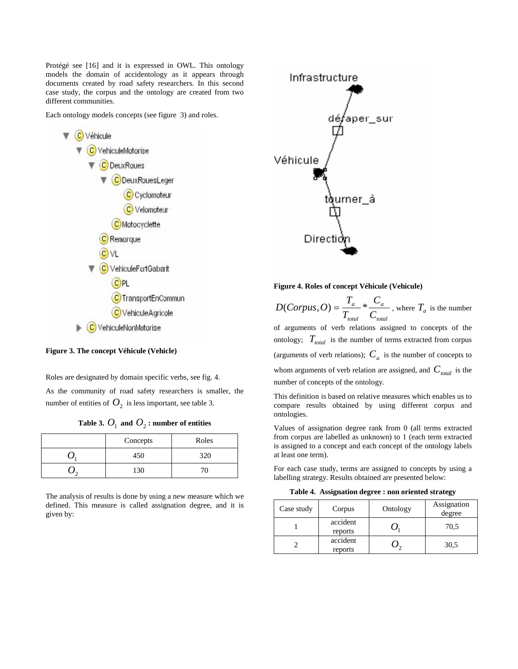Protégé see [16] and it is expressed in OWL. This ontology models the domain of accidentology as it appears through documents created by road safety researchers. In this second case study, the corpus and the ontology are created from two different communities.

Each ontology models concepts (see figure 3) and roles.



**Figure 3. The concept Véhicule (Vehicle)**

Roles are designated by domain specific verbs, see fig. 4.

As the community of road safety researchers is smaller, the number of entities of  $O_2$  is less important, see table 3.

| Table 3. $O_1$ and $O_2$ : number of entities |  |  |
|-----------------------------------------------|--|--|
|-----------------------------------------------|--|--|

| Concepts | Roles |
|----------|-------|
| 450      | 320   |
| 130      | 70    |

The analysis of results is done by using a new measure which we defined. This measure is called assignation degree, and it is given by:



#### **Figure 4. Roles of concept Véhicule (Vehicule)**

*total a total a C C T*  $D(Corpus, O) = \frac{T_a}{T} * \frac{C_a}{C}$ , where  $T_a$  is the number of arguments of verb relations assigned to concepts of the ontology;  $T_{total}$  is the number of terms extracted from corpus (arguments of verb relations);  $C_a$  is the number of concepts to

whom arguments of verb relation are assigned, and  $C_{total}$  is the number of concepts of the ontology.

This definition is based on relative measures which enables us to compare results obtained by using different corpus and ontologies.

Values of assignation degree rank from 0 (all terms extracted from corpus are labelled as unknown) to 1 (each term extracted is assigned to a concept and each concept of the ontology labels at least one term).

For each case study, terms are assigned to concepts by using a labelling strategy. Results obtained are presented below:

**Table 4. Assignation degree : non oriented strategy**

| Case study | Corpus              | Ontology | Assignation<br>degree |
|------------|---------------------|----------|-----------------------|
|            | accident<br>reports |          | 70,5                  |
|            | accident<br>reports |          | 30,5                  |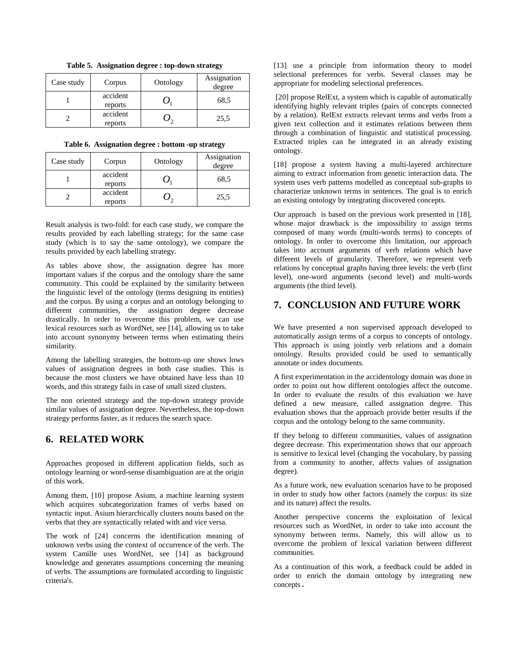| Case study | Corpus              | Ontology | Assignation<br>degree |
|------------|---------------------|----------|-----------------------|
|            | accident<br>reports |          | 68.5                  |
|            | accident<br>reports |          | 25,5                  |

**Table 5. Assignation degree : top-down strategy**

#### **Table 6. Assignation degree : bottom -up strategy**

| Case study | Corpus              | Ontology | Assignation<br>degree |
|------------|---------------------|----------|-----------------------|
|            | accident<br>reports |          | 68.5                  |
|            | accident<br>reports |          | 25,5                  |

Result analysis is two-fold: for each case study, we compare the results provided by each labelling strategy; for the same case study (which is to say the same ontology), we compare the results provided by each labelling strategy.

As tables above show, the assignation degree has more important values if the corpus and the ontology share the same community. This could be explained by the similarity between the linguistic level of the ontology (terms designing its entities) and the corpus. By using a corpus and an ontology belonging to different communities, the assignation degree decrease drastically. In order to overcome this problem, we can use lexical resources such as WordNet, see [14], allowing us to take into account synonymy between terms when estimating theirs similarity.

Among the labelling strategies, the bottom-up one shows lows values of assignation degrees in both case studies. This is because the most clusters we have obtained have less than 10 words, and this strategy fails in case of small sized clusters.

The non oriented strategy and the top-down strategy provide similar values of assignation degree. Nevertheless, the top-down strategy performs faster, as it reduces the search space.

### **6. RELATED WORK**

Approaches proposed in different application fields, such as ontology learning or word-sense disambiguation are at the origin of this work.

Among them, [10] propose Asium, a machine learning system which acquires subcategorization frames of verbs based on syntactic input. Asium hierarchically clusters nouns based on the verbs that they are syntactically related with and vice versa.

The work of [24] concerns the identification meaning of unknown verbs using the context of occurrence of the verb. The system Camille uses WordNet, see [14] as background knowledge and generates assumptions concerning the meaning of verbs. The assumptions are formulated according to linguistic criteria's.

[13] use a principle from information theory to model selectional preferences for verbs. Several classes may be appropriate for modeling selectional preferences.

 [20] propose RelExt, a system which is capable of automatically identifying highly relevant triples (pairs of concepts connected by a relation). RelExt extracts relevant terms and verbs from a given text collection and it estimates relations between them through a combination of linguistic and statistical processing. Extracted triples can be integrated in an already existing ontology.

[18] propose a system having a multi-layered architecture aiming to extract information from genetic interaction data. The system uses verb patterns modelled as conceptual sub-graphs to characterize unknown terms in sentences. The goal is to enrich an existing ontology by integrating discovered concepts.

Our approach is based on the previous work presented in [18], whose major drawback is the impossibility to assign terms composed of many words (multi-words terms) to concepts of ontology. In order to overcome this limitation, our approach takes into account arguments of verb relations which have different levels of granularity. Therefore, we represent verb relations by conceptual graphs having three levels: the verb (first level), one-word arguments (second level) and multi-words arguments (the third level).

## **7. CONCLUSION AND FUTURE WORK**

We have presented a non supervised approach developed to automatically assign terms of a corpus to concepts of ontology. This approach is using jointly verb relations and a domain ontology. Results provided could be used to semantically annotate or index documents.

A first experimentation in the accidentology domain was done in order to point out how different ontologies affect the outcome. In order to evaluate the results of this evaluation we have defined a new measure, called assignation degree. This evaluation shows that the approach provide better results if the corpus and the ontology belong to the same community.

If they belong to different communities, values of assignation degree decrease. This experimentation shows that our approach is sensitive to lexical level (changing the vocabulary, by passing from a community to another, affects values of assignation degree).

As a future work, new evaluation scenarios have to be proposed in order to study how other factors (namely the corpus: its size and its nature) affect the results.

Another perspective concerns the exploitation of lexical resources such as WordNet, in order to take into account the synonymy between terms. Namely, this will allow us to overcome the problem of lexical variation between different communities.

As a continuation of this work, a feedback could be added in order to enrich the domain ontology by integrating new concepts.